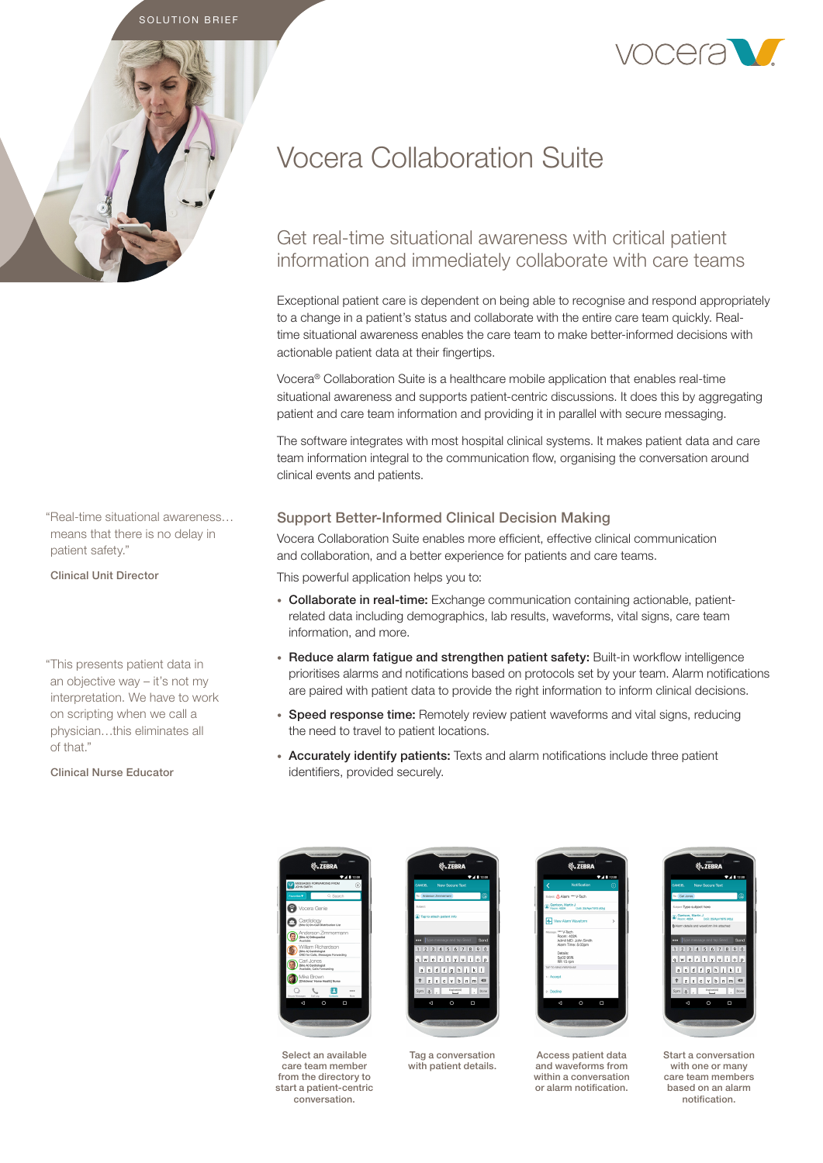



# Vocera Collaboration Suite

# Get real-time situational awareness with critical patient information and immediately collaborate with care teams

Exceptional patient care is dependent on being able to recognise and respond appropriately to a change in a patient's status and collaborate with the entire care team quickly. Realtime situational awareness enables the care team to make better-informed decisions with actionable patient data at their fingertips.

Vocera® Collaboration Suite is a healthcare mobile application that enables real-time situational awareness and supports patient-centric discussions. It does this by aggregating patient and care team information and providing it in parallel with secure messaging.

The software integrates with most hospital clinical systems. It makes patient data and care team information integral to the communication flow, organising the conversation around clinical events and patients.

# Support Better-Informed Clinical Decision Making

Vocera Collaboration Suite enables more efficient, effective clinical communication and collaboration, and a better experience for patients and care teams.

This powerful application helps you to:

- Collaborate in real-time: Exchange communication containing actionable, patientrelated data including demographics, lab results, waveforms, vital signs, care team information, and more.
- Reduce alarm fatigue and strengthen patient safety: Built-in workflow intelligence prioritises alarms and notifications based on protocols set by your team. Alarm notifications are paired with patient data to provide the right information to inform clinical decisions.
- Speed response time: Remotely review patient waveforms and vital signs, reducing the need to travel to patient locations.
- Accurately identify patients: Texts and alarm notifications include three patient identifiers, provided securely.



Select an available care team member from the directory to start a patient-centric conversation.



with patient details.

Tag a conversation



Access patient data and waveforms from within a conversation or alarm notification.



Start a conversation with one or many care team members based on an alarm notification.

"Real-time situational awareness… means that there is no delay in patient safety."

Clinical Unit Director

"This presents patient data in an objective way – it's not my interpretation. We have to work on scripting when we call a physician…this eliminates all of that."

Clinical Nurse Educator